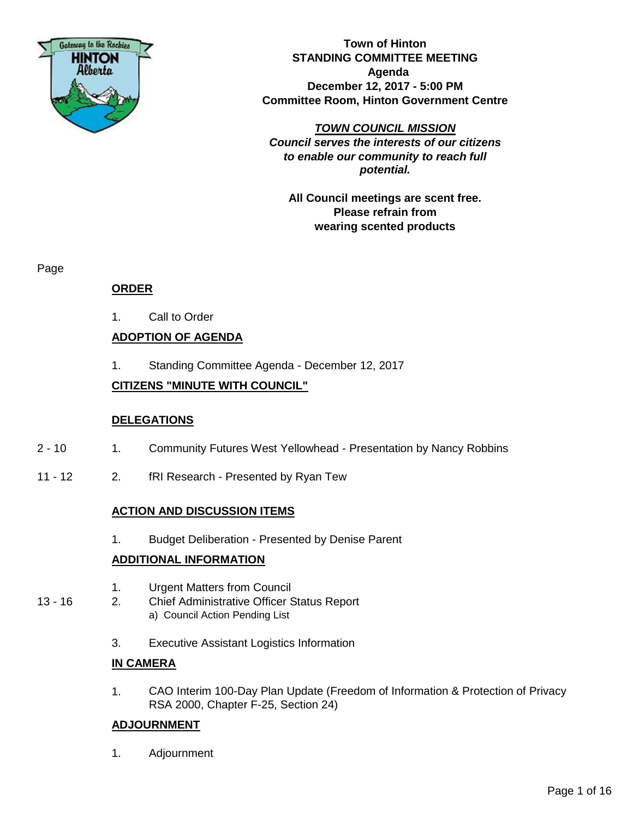

**Town of Hinton STANDING COMMITTEE MEETING Agenda December 12, 2017 - 5:00 PM Committee Room, Hinton Government Centre**

*TOWN COUNCIL MISSION Council serves the interests of our citizens to enable our community to reach full potential.*

**All Council meetings are scent free. Please refrain from wearing scented products**

Page

#### **ORDER**

1. Call to Order

#### **ADOPTION OF AGENDA**

1. Standing Committee Agenda - December 12, 2017

#### **CITIZENS "MINUTE WITH COUNCIL"**

#### **DELEGATIONS**

- 2 10 1. Community Futures West Yellowhead Presentation by Nancy Robbins
- 11 12 2. fRI Research Presented by Ryan Tew

#### **ACTION AND DISCUSSION ITEMS**

1. Budget Deliberation - Presented by Denise Parent

#### **ADDITIONAL INFORMATION**

- 1. Urgent Matters from Council
- 13 16 2. Chief Administrative Officer Status Report a) Council Action Pending List
	- 3. Executive Assistant Logistics Information

#### **IN CAMERA**

1. CAO Interim 100-Day Plan Update (Freedom of Information & Protection of Privacy RSA 2000, Chapter F-25, Section 24)

#### **ADJOURNMENT**

1. Adjournment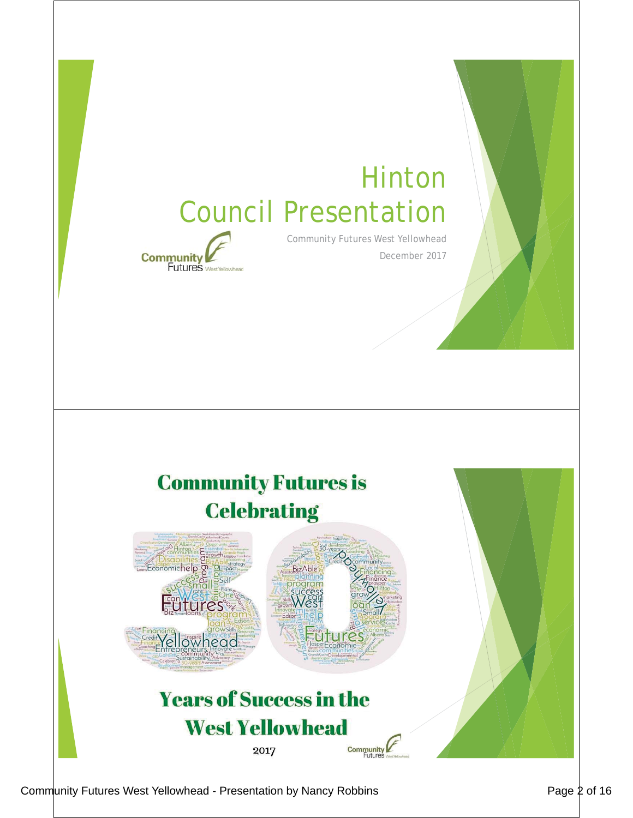## Hinton Council Presentation



Community Futures West Yellowhead December 2017

## **Community Futures is Celebrating**



#### **Years of Success in the West Yellowhead Community** 2017

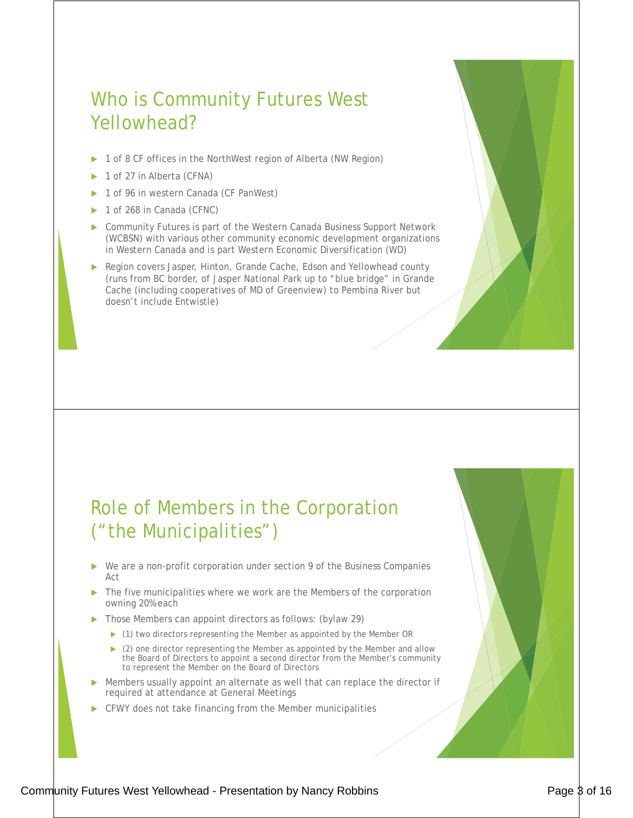## Who is Community Futures West Yellowhead?

- ▶ 1 of 8 CF offices in the NorthWest region of Alberta (NW Region)
- 1 of 27 in Alberta (CFNA)
- 1 of 96 in western Canada (CF PanWest)
- 1 of 268 in Canada (CFNC)
- Community Futures is part of the Western Canada Business Support Network (WCBSN) with various other community economic development organizations in Western Canada and is part Western Economic Diversification (WD)
- Region covers Jasper, Hinton, Grande Cache, Edson and Yellowhead county (runs from BC border, of Jasper National Park up to "blue bridge" in Grande Cache (including cooperatives of MD of Greenview) to Pembina River but doesn't include Entwistle)

## Role of Members in the Corporation ("the Municipalities")

- We are a non-profit corporation under section 9 of the Business Companies Act
- $\blacktriangleright$  The five municipalities where we work are the Members of the corporation owning 20% each
- Those Members can appoint directors as follows: (bylaw 29)
	- $\blacktriangleright$  (1) two directors representing the Member as appointed by the Member OR
	- $\triangleright$  (2) one director representing the Member as appointed by the Member and allow the Board of Directors to appoint a second director from the Member's community to represent the Member on the Board of Directors
- $\blacktriangleright$  Members usually appoint an alternate as well that can replace the director if required at attendance at General Meetings
- CFWY does not take financing from the Member municipalities

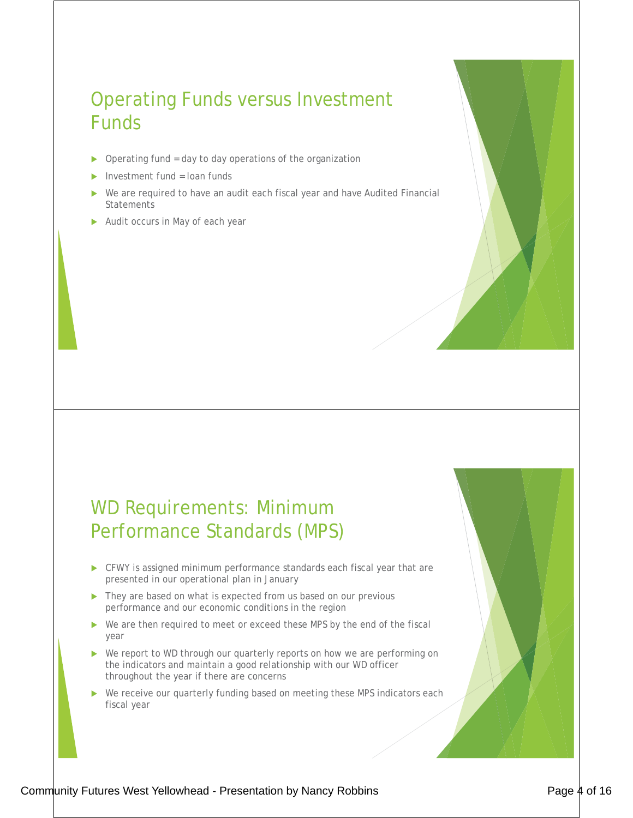## Operating Funds versus Investment Funds

- $\triangleright$  Operating fund = day to day operations of the organization
- Investment fund = loan funds
- We are required to have an audit each fiscal year and have Audited Financial Statements
- $\blacktriangleright$  Audit occurs in May of each year

#### WD Requirements: Minimum Performance Standards (MPS)

- $\blacktriangleright$  CFWY is assigned minimum performance standards each fiscal year that are presented in our operational plan in January
- $\blacktriangleright$  They are based on what is expected from us based on our previous performance and our economic conditions in the region
- $\triangleright$  We are then required to meet or exceed these MPS by the end of the fiscal year
- $\triangleright$  We report to WD through our quarterly reports on how we are performing on the indicators and maintain a good relationship with our WD officer throughout the year if there are concerns
- $\blacktriangleright$  We receive our quarterly funding based on meeting these MPS indicators each fiscal year

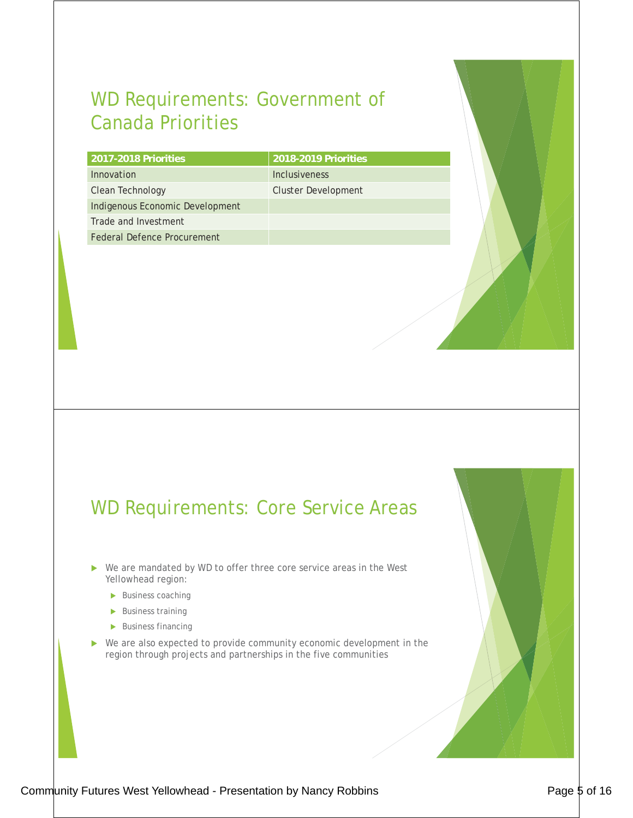## WD Requirements: Government of Canada Priorities

| 2017-2018 Priorities            | 2018-2019 Priorities |
|---------------------------------|----------------------|
| Innovation                      | Inclusiveness        |
| Clean Technology                | Cluster Development  |
| Indigenous Economic Development |                      |
| Trade and Investment            |                      |
| Federal Defence Procurement     |                      |

#### WD Requirements: Core Service Areas

- $\triangleright$  We are mandated by WD to offer three core service areas in the West Yellowhead region:
	- $\blacktriangleright$  Business coaching
	- $\blacktriangleright$  Business training
	- $\blacktriangleright$  Business financing
- $\blacktriangleright$  We are also expected to provide community economic development in the region through projects and partnerships in the five communities

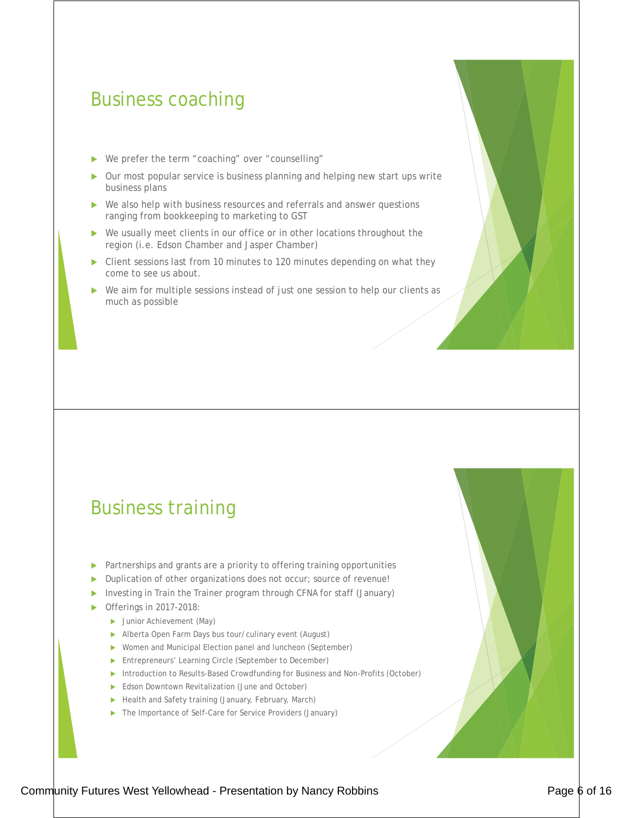#### Business coaching

- ▶ We prefer the term "coaching" over "counselling"
- Our most popular service is business planning and helping new start ups write business plans
- We also help with business resources and referrals and answer questions ranging from bookkeeping to marketing to GST
- $\triangleright$  We usually meet clients in our office or in other locations throughout the region (i.e. Edson Chamber and Jasper Chamber)
- $\triangleright$  Client sessions last from 10 minutes to 120 minutes depending on what they come to see us about.
- $\triangleright$  We aim for multiple sessions instead of just one session to help our clients as much as possible

#### Business training

- Partnerships and grants are a priority to offering training opportunities
- Duplication of other organizations does not occur; source of revenue!
- Investing in Train the Trainer program through CFNA for staff (January)
- Offerings in 2017-2018:
	- Inior Achievement (May)
	- Alberta Open Farm Days bus tour/culinary event (August)
	- ▶ Women and Municipal Election panel and luncheon (September)
	- **Entrepreneurs' Learning Circle (September to December)**
	- **Introduction to Results-Based Crowdfunding for Business and Non-Profits (October)**
	- Edson Downtown Revitalization (June and October)
	- Health and Safety training (January, February, March)
	- ▶ The Importance of Self-Care for Service Providers (January)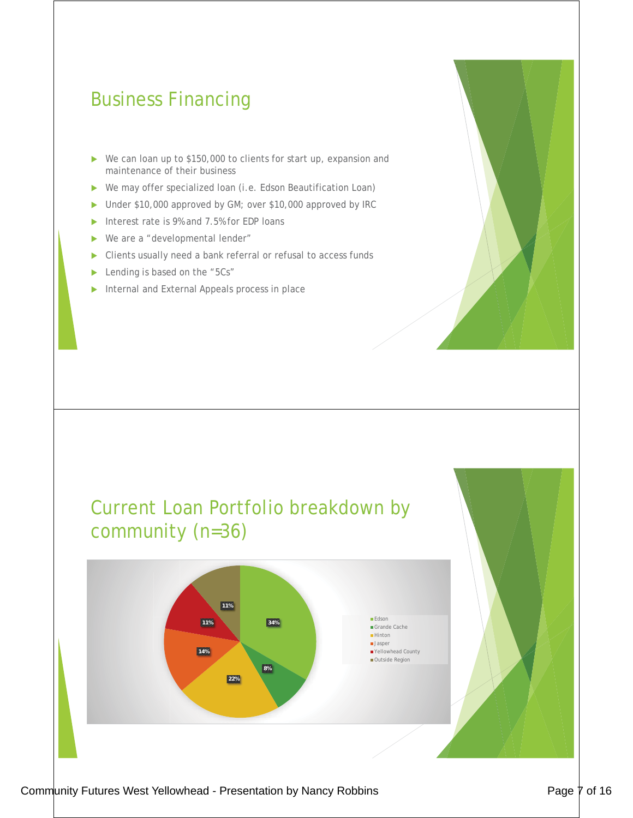## Business Financing

- $\triangleright$  We can loan up to \$150,000 to clients for start up, expansion and maintenance of their business
- ▶ We may offer specialized loan (i.e. Edson Beautification Loan)
- Inder \$10,000 approved by GM; over \$10,000 approved by IRC
- $\triangleright$  Interest rate is 9% and 7.5% for EDP loans
- $\triangleright$  We are a "developmental lender"
- $\triangleright$  Clients usually need a bank referral or refusal to access funds
- Lending is based on the "5Cs"
- $\blacktriangleright$  Internal and External Appeals process in place



#### Current Loan Portfolio breakdown by community (n=36) **34% 8% 22% 14% 11% 11% Edson** Grande Cache ■Hinton **Jasper** Yellowhead County Outside Region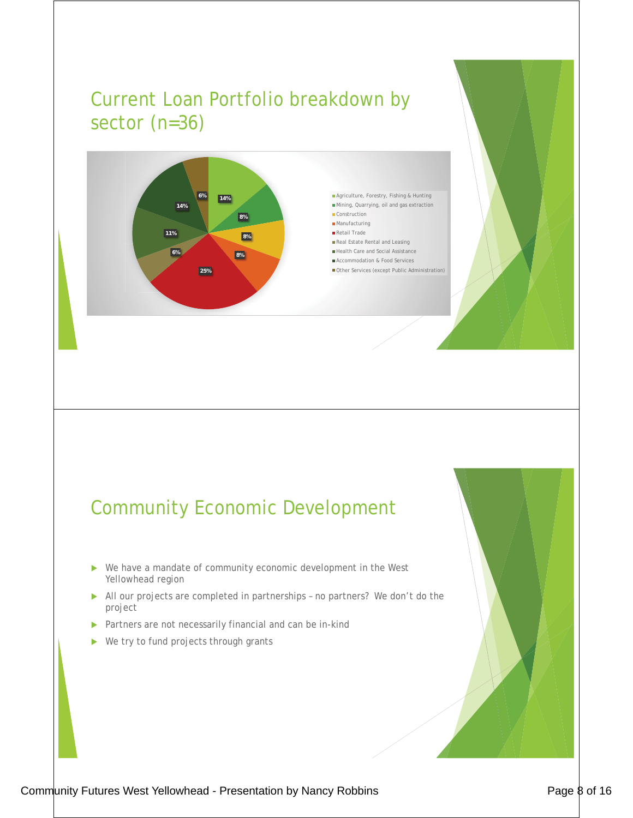## Current Loan Portfolio breakdown by sector (n=36)



**6%** Agriculture, Forestry, Fishing & Hunting Mining, Quarrying, oil and gas extraction Construction

- **Manufacturing**
- Retail Trade
- Real Estate Rental and Leasing Health Care and Social Assistance
- Accommodation & Food Services
- Other Services (except Public Administration)

## Community Economic Development

- $\triangleright$  We have a mandate of community economic development in the West Yellowhead region
- All our projects are completed in partnerships no partners? We don't do the project
- **>** Partners are not necessarily financial and can be in-kind
- $\blacktriangleright$  We try to fund projects through grants

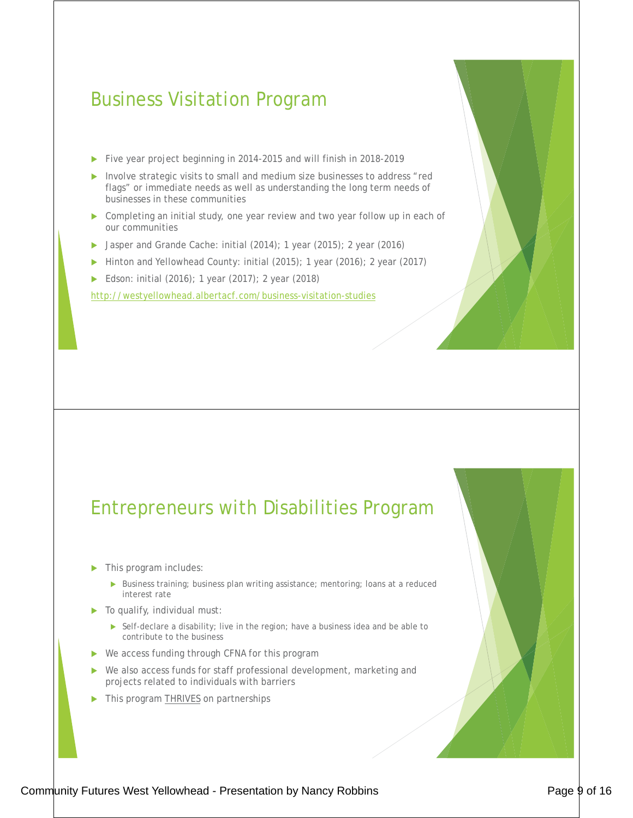#### Business Visitation Program

- ▶ Five year project beginning in 2014-2015 and will finish in 2018-2019
- Involve strategic visits to small and medium size businesses to address "red flags" or immediate needs as well as understanding the long term needs of businesses in these communities
- $\triangleright$  Completing an initial study, one year review and two year follow up in each of our communities
- ▶ Jasper and Grande Cache: initial (2014); 1 year (2015); 2 year (2016)
- Inition and Yellowhead County: initial (2015); 1 year (2016); 2 year (2017)
- ▶ Edson: initial (2016); 1 year (2017); 2 year (2018)

http://westyellowhead.albertacf.com/business-visitation-studies

#### Entrepreneurs with Disabilities Program

- $\blacktriangleright$  This program includes:
	- ▶ Business training; business plan writing assistance; mentoring; loans at a reduced interest rate
- $\blacktriangleright$  To qualify, individual must:
	- $\triangleright$  Self-declare a disability; live in the region; have a business idea and be able to contribute to the business
- $\triangleright$  We access funding through CFNA for this program
- $\triangleright$  We also access funds for staff professional development, marketing and projects related to individuals with barriers
- This program **THRIVES** on partnerships

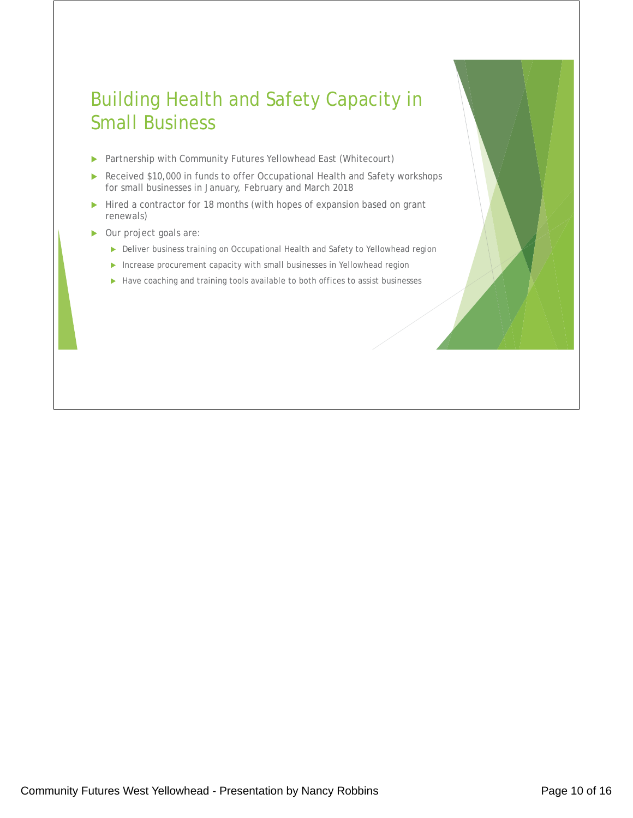## Building Health and Safety Capacity in Small Business

- ▶ Partnership with Community Futures Yellowhead East (Whitecourt)
- Received \$10,000 in funds to offer Occupational Health and Safety workshops for small businesses in January, February and March 2018
- $\blacktriangleright$  Hired a contractor for 18 months (with hopes of expansion based on grant renewals)
- ▶ Our project goals are:
	- Deliver business training on Occupational Health and Safety to Yellowhead region
	- Increase procurement capacity with small businesses in Yellowhead region
	- $\blacktriangleright$  Have coaching and training tools available to both offices to assist businesses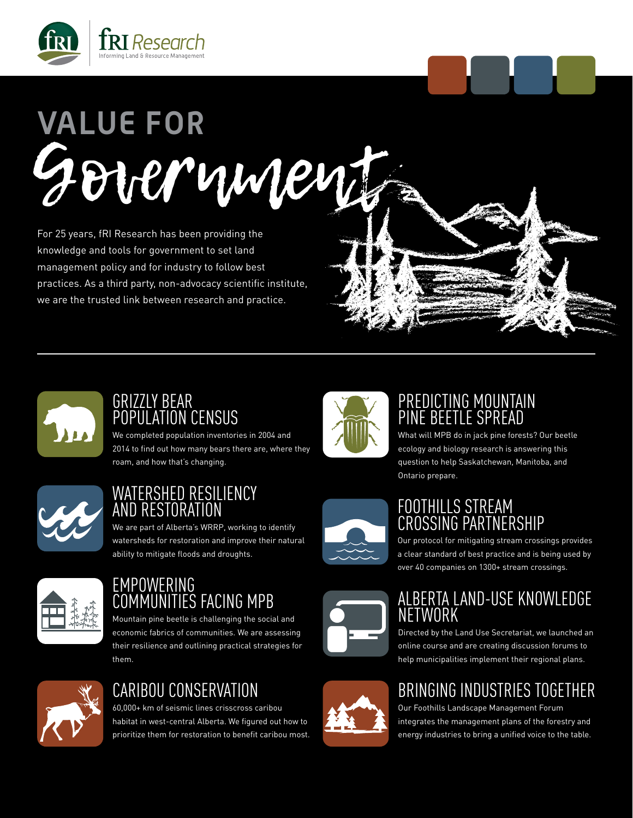

# Government **VALUE FOR**

For 25 years, fRI Research has been providing the knowledge and tools for government to set land management policy and for industry to follow best practices. As a third party, non-advocacy scientific institute, we are the trusted link between research and practice.



#### PREDICTING MOUNTAIN PINE BEETLE SPREAD

What will MPB do in jack pine forests? Our beetle ecology and biology research is answering this question to help Saskatchewan, Manitoba, and Ontario prepare.

#### FOOTHILLS STREAM CROSSING PARTNERSHIP

Our protocol for mitigating stream crossings provides a clear standard of best practice and is being used by over 40 companies on 1300+ stream crossings.

#### ALBERTA LAND-USE KNOWLEDGE NETWORK

Directed by the Land Use Secretariat, we launched an online course and are creating discussion forums to help municipalities implement their regional plans.

## BRINGING INDUSTRIES TOGETHER

Our Foothills Landscape Management Forum integrates the management plans of the forestry and energy industries to bring a unified voice to the table.



#### GRIZZLY BEAR POPULATION CENSUS

We completed population inventories in 2004 and 2014 to find out how many bears there are, where they roam, and how that's changing.



#### WATERSHED RESILIENCY AND RESTORATION

We are part of Alberta's WRRP, working to identify watersheds for restoration and improve their natural ability to mitigate floods and droughts.



#### EMPOWERING COMMUNITIES FACING MPB

Mountain pine beetle is challenging the social and economic fabrics of communities. We are assessing their resilience and outlining practical strategies for them.



### CARIBOU CONSERVATION

60,000+ km of seismic lines crisscross caribou habitat in west-central Alberta. We figured out how to prioritize them for restoration to benefit caribou most.





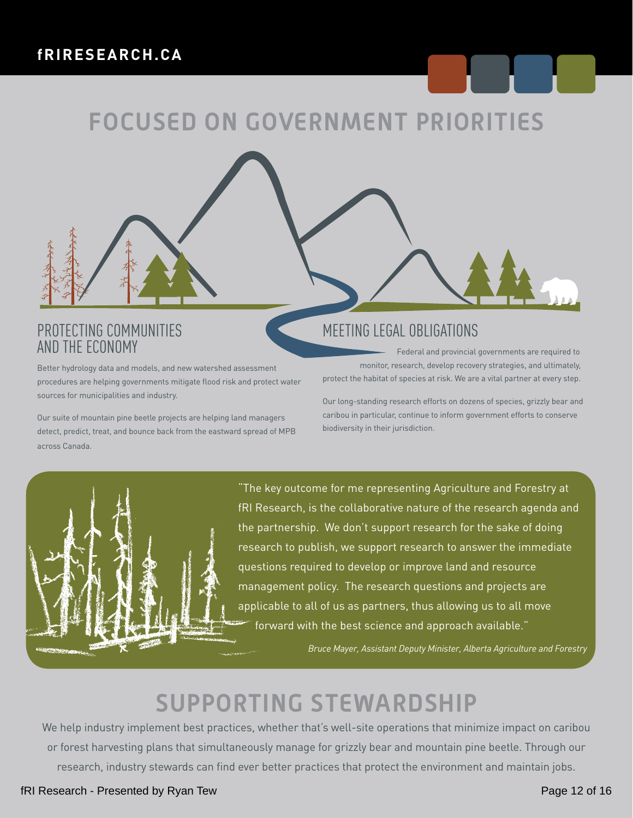## **FOCUSED ON GOVERNMENT PRIORITIES**

#### PROTECTING COMMUNITIES AND THE ECONOMY

Better hydrology data and models, and new watershed assessment procedures are helping governments mitigate flood risk and protect water sources for municipalities and industry.

Our suite of mountain pine beetle projects are helping land managers detect, predict, treat, and bounce back from the eastward spread of MPB across Canada.

#### MEETING LEGAL OBLIGATIONS

 Federal and provincial governments are required to monitor, research, develop recovery strategies, and ultimately, protect the habitat of species at risk. We are a vital partner at every step.

Our long-standing research efforts on dozens of species, grizzly bear and caribou in particular, continue to inform government efforts to conserve biodiversity in their jurisdiction.



"The key outcome for me representing Agriculture and Forestry at fRI Research, is the collaborative nature of the research agenda and the partnership. We don't support research for the sake of doing research to publish, we support research to answer the immediate questions required to develop or improve land and resource management policy. The research questions and projects are applicable to all of us as partners, thus allowing us to all move forward with the best science and approach available."

*Bruce Mayer, Assistant Deputy Minister, Alberta Agriculture and Forestry*

## **SUPPORTING STEWARDSHIP**

We help industry implement best practices, whether that's well-site operations that minimize impact on caribou or forest harvesting plans that simultaneously manage for grizzly bear and mountain pine beetle. Through our research, industry stewards can find ever better practices that protect the environment and maintain jobs.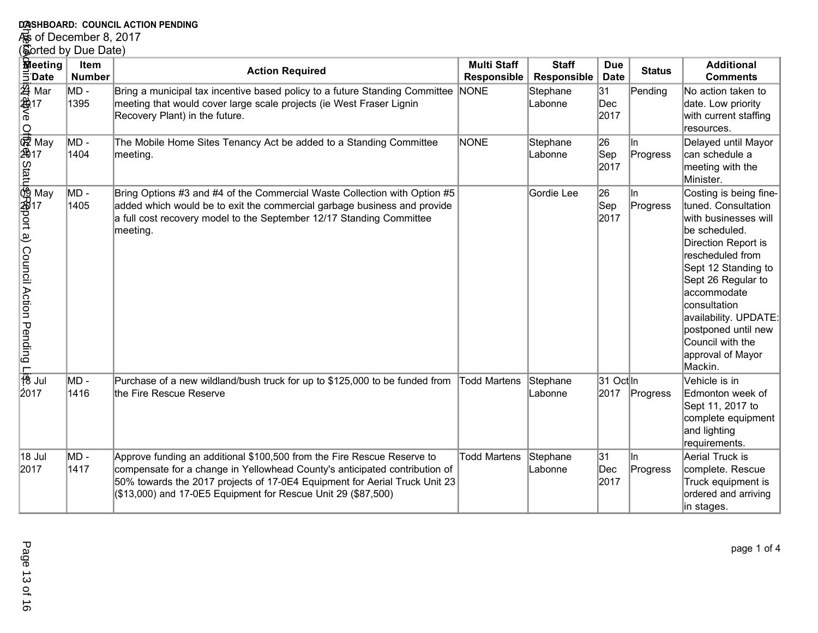## **DASHBOARD: COUNCIL ACTION PENDING<br>For of December 8, 2017<br>(Sorted by Due Date)**

| DASHBOARD: COUNCIL ACTION PENDING                                               |                                               |                                                                                                                                                                                                                                                                                                      |                                          |                             |                                |                 |                                                                                                                                                                                                                                                                                                                   |
|---------------------------------------------------------------------------------|-----------------------------------------------|------------------------------------------------------------------------------------------------------------------------------------------------------------------------------------------------------------------------------------------------------------------------------------------------------|------------------------------------------|-----------------------------|--------------------------------|-----------------|-------------------------------------------------------------------------------------------------------------------------------------------------------------------------------------------------------------------------------------------------------------------------------------------------------------------|
| ⁄‰ of December 8, 2017                                                          |                                               |                                                                                                                                                                                                                                                                                                      |                                          |                             |                                |                 |                                                                                                                                                                                                                                                                                                                   |
| <b>Reeting</b><br>$\bar{5}$ Date                                                | (Sorted by Due Date)<br>Item<br><b>Number</b> | <b>Action Required</b>                                                                                                                                                                                                                                                                               | <b>Multi Staff</b><br><b>Responsible</b> | <b>Staff</b><br>Responsible | <b>Due</b><br><b>Date</b>      | <b>Status</b>   | <b>Additional</b><br><b>Comments</b>                                                                                                                                                                                                                                                                              |
| 44<br>444<br>17<br>6<br>6<br>Mar                                                | MD -<br>1395                                  | Bring a municipal tax incentive based policy to a future Standing Committee<br>meeting that would cover large scale projects (ie West Fraser Lignin<br>Recovery Plant) in the future.                                                                                                                | NONE                                     | Stephane<br>Labonne         | 31<br>$\mathsf{Dec}$<br>2017   | Pending         | No action taken to<br>date. Low priority<br>with current staffing<br>resources.                                                                                                                                                                                                                                   |
|                                                                                 | MD -<br>1404                                  | The Mobile Home Sites Tenancy Act be added to a Standing Committee<br>meeting.                                                                                                                                                                                                                       | NONE                                     | Stephane<br>Labonne         | 26<br> Sep<br>2017             | In.<br>Progress | Delayed until Mayor<br>can schedule a<br>meeting with the<br>Minister.                                                                                                                                                                                                                                            |
| Off@@Maxazamay<br>May<br>徳川 May<br>May<br>Julino Department Discrete Department | MD -<br>1405                                  | Bring Options #3 and #4 of the Commercial Waste Collection with Option #5<br>added which would be to exit the commercial garbage business and provide<br>a full cost recovery model to the September 12/17 Standing Committee<br>meeting.                                                            |                                          | Gordie Lee                  | 26<br>$ \mathsf{Sep} $<br>2017 | ln.<br>Progress | Costing is being fine-<br>tuned. Consultation<br>with businesses will<br>be scheduled.<br>Direction Report is<br>rescheduled from<br>Sept 12 Standing to<br>Sept 26 Regular to<br>accommodate<br>consultation<br>availability. UPDATE:<br>postponed until new<br>Council with the<br>approval of Mayor<br>Mackin. |
| 2017                                                                            | MD -<br>1416                                  | Purchase of a new wildland/bush truck for up to \$125,000 to be funded from<br>the Fire Rescue Reserve                                                                                                                                                                                               | Todd Martens                             | Stephane<br>Labonne         | 31 Octln<br>2017               | Progress        | Vehicle is in<br>Edmonton week of<br>Sept 11, 2017 to<br>complete equipment<br>and lighting<br>requirements.                                                                                                                                                                                                      |
| 18 Jul<br>2017                                                                  | MD -<br>1417                                  | Approve funding an additional \$100,500 from the Fire Rescue Reserve to<br>compensate for a change in Yellowhead County's anticipated contribution of<br>50% towards the 2017 projects of 17-0E4 Equipment for Aerial Truck Unit 23<br>(\$13,000) and 17-0E5 Equipment for Rescue Unit 29 (\$87,500) | <b>Todd Martens</b>                      | Stephane<br>Labonne         | 31<br>$\mathsf{Dec}$<br>2017   | ln.<br>Progress | Aerial Truck is<br>complete. Rescue<br>Truck equipment is<br>ordered and arriving<br>in stages.                                                                                                                                                                                                                   |

page 1 of 4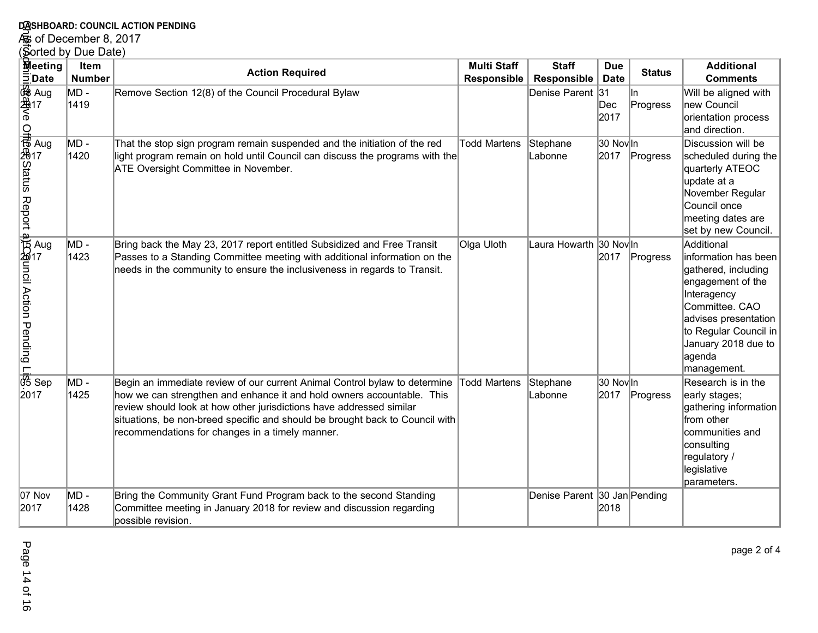## **DASHBOARD: COUNCIL ACTION PENDING<br>As of December 8, 2017<br>(Sorted by Due Date)**

| DASHBOARD: COUNCIL ACTION PENDING                                                                                                   |                |                                                                                                                                                                                                                                                                                                                                                                              |                     |                              |                   |                  |                                                                                                                                                                                                                  |
|-------------------------------------------------------------------------------------------------------------------------------------|----------------|------------------------------------------------------------------------------------------------------------------------------------------------------------------------------------------------------------------------------------------------------------------------------------------------------------------------------------------------------------------------------|---------------------|------------------------------|-------------------|------------------|------------------------------------------------------------------------------------------------------------------------------------------------------------------------------------------------------------------|
| So of December 8, 2017                                                                                                              |                |                                                                                                                                                                                                                                                                                                                                                                              |                     |                              |                   |                  |                                                                                                                                                                                                                  |
| (Sorted by Due Date)<br>Meeting                                                                                                     | <b>Item</b>    | <b>Action Required</b>                                                                                                                                                                                                                                                                                                                                                       | <b>Multi Staff</b>  | <b>Staff</b>                 | <b>Due</b>        | <b>Status</b>    | <b>Additional</b>                                                                                                                                                                                                |
| $\Xi$ Date                                                                                                                          | <b>Number</b>  |                                                                                                                                                                                                                                                                                                                                                                              | <b>Responsible</b>  | Responsible                  | <b>Date</b>       |                  | <b>Comments</b>                                                                                                                                                                                                  |
|                                                                                                                                     | $MD -$<br>1419 | Remove Section 12(8) of the Council Procedural Bylaw                                                                                                                                                                                                                                                                                                                         |                     | Denise Parent 31             | Dec<br>2017       | lln.<br>Progress | Will be aligned with<br>new Council<br>orientation process<br>and direction.                                                                                                                                     |
|                                                                                                                                     | MD -<br>1420   | That the stop sign program remain suspended and the initiation of the red<br>light program remain on hold until Council can discuss the programs with the<br><b>ATE Oversight Committee in November.</b>                                                                                                                                                                     | <b>Todd Martens</b> | Stephane<br>Labonne          | 30 Nov In<br>2017 | Progress         | Discussion will be<br>scheduled during the<br>quarterly ATEOC<br>update at a<br>November Regular<br>Council once<br>meeting dates are<br>set by new Council.                                                     |
| offerences Report application Pending Lists<br>Sep And Market And Microsoft<br>Sep And Microsoft And Microsoft Action Pending Lists | MD -<br>1423   | Bring back the May 23, 2017 report entitled Subsidized and Free Transit<br>Passes to a Standing Committee meeting with additional information on the<br>needs in the community to ensure the inclusiveness in regards to Transit.                                                                                                                                            | Olga Uloth          | Laura Howarth 30 Nov In      |                   | 2017 Progress    | Additional<br>information has been<br>gathered, including<br>engagement of the<br>Interagency<br>Committee. CAO<br>advises presentation<br>to Regular Council in<br>January 2018 due to<br>agenda<br>management. |
| 2017                                                                                                                                | $MD -$<br>1425 | Begin an immediate review of our current Animal Control bylaw to determine Todd Martens<br>how we can strengthen and enhance it and hold owners accountable. This<br>review should look at how other jurisdictions have addressed similar<br>situations, be non-breed specific and should be brought back to Council with<br>recommendations for changes in a timely manner. |                     | Stephane<br>Labonne          | 30 Nov In<br>2017 | Progress         | Research is in the<br>early stages;<br>gathering information<br>from other<br>communities and<br>consulting<br>regulatory /<br>legislative<br>parameters.                                                        |
| 07 Nov<br>2017                                                                                                                      | $MD -$<br>1428 | Bring the Community Grant Fund Program back to the second Standing<br>Committee meeting in January 2018 for review and discussion regarding<br>possible revision.                                                                                                                                                                                                            |                     | Denise Parent 30 Jan Pending | 2018              |                  |                                                                                                                                                                                                                  |

page 2 of 4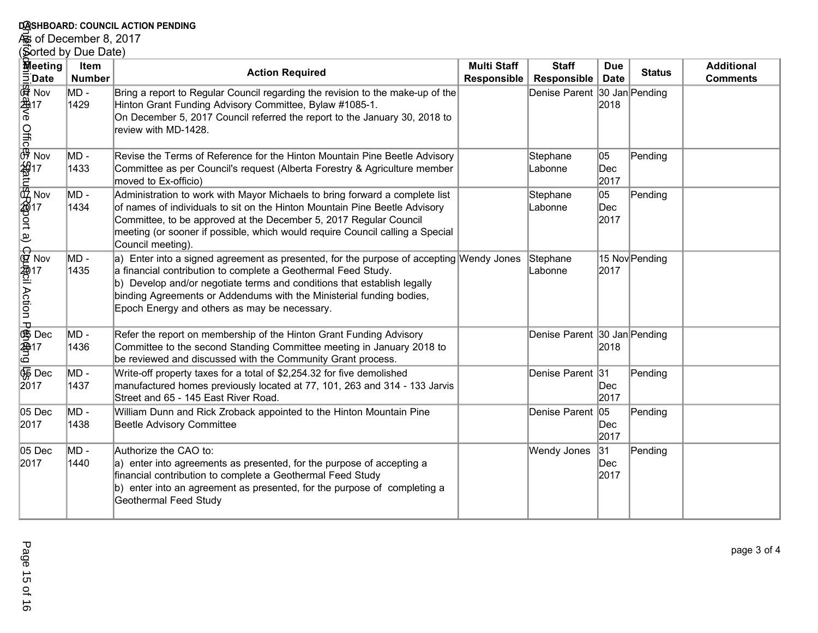## **DASHBOARD: COUNCIL ACTION PENDING<br>As of December 8, 2017<br>(Sorted by Due Date)**

|                        | DASHBOARD: COUNCIL ACTION PENDING                                                                                                                                                                                                                                             |                       |                                                                                                                                                                                                                                                                                                                                                             |                                          |                                    |                           |                |                                      |
|------------------------|-------------------------------------------------------------------------------------------------------------------------------------------------------------------------------------------------------------------------------------------------------------------------------|-----------------------|-------------------------------------------------------------------------------------------------------------------------------------------------------------------------------------------------------------------------------------------------------------------------------------------------------------------------------------------------------------|------------------------------------------|------------------------------------|---------------------------|----------------|--------------------------------------|
| கு of December 8, 2017 |                                                                                                                                                                                                                                                                               |                       |                                                                                                                                                                                                                                                                                                                                                             |                                          |                                    |                           |                |                                      |
|                        | Sorted by Due Date)                                                                                                                                                                                                                                                           |                       |                                                                                                                                                                                                                                                                                                                                                             |                                          |                                    |                           |                |                                      |
|                        | <b>M</b> eeting                                                                                                                                                                                                                                                               | Item<br><b>Number</b> | <b>Action Required</b>                                                                                                                                                                                                                                                                                                                                      | <b>Multi Staff</b><br><b>Responsible</b> | <b>Staff</b><br><b>Responsible</b> | <b>Due</b><br><b>Date</b> | <b>Status</b>  | <b>Additional</b><br><b>Comments</b> |
|                        | injighdador Nov<br>injighdador Nov<br>3. Nov<br>2. Nov<br>2. Nov<br>2. Nov<br>2. Nov<br>2. Nov<br>2. Nov<br>2. Nov<br>2. Nov<br>2. Nov<br>2. Nov<br>2. Nov<br>2. Nov<br>2. Nov<br>2. Nov<br>2. Nov<br>2. Nov<br>2. Nov<br>2. Nov<br>2. Nov<br>2. Nov<br>2. 2. Nov<br>2. 2. No | MD -<br>1429          | Bring a report to Regular Council regarding the revision to the make-up of the<br>Hinton Grant Funding Advisory Committee, Bylaw #1085-1.<br>On December 5, 2017 Council referred the report to the January 30, 2018 to<br>review with MD-1428.                                                                                                             |                                          | Denise Parent 30 Jan Pending       | 2018                      |                |                                      |
|                        |                                                                                                                                                                                                                                                                               | MD -<br>1433          | Revise the Terms of Reference for the Hinton Mountain Pine Beetle Advisory<br>Committee as per Council's request (Alberta Forestry & Agriculture member<br>moved to Ex-officio)                                                                                                                                                                             |                                          | Stephane<br>Labonne                | 05<br>Dec<br>2017         | Pending        |                                      |
|                        |                                                                                                                                                                                                                                                                               | MD -<br>1434          | Administration to work with Mayor Michaels to bring forward a complete list<br>of names of individuals to sit on the Hinton Mountain Pine Beetle Advisory<br>Committee, to be approved at the December 5, 2017 Regular Council<br>meeting (or sooner if possible, which would require Council calling a Special<br>Council meeting).                        |                                          | Stephane<br>Labonne                | 05<br>Dec<br>2017         | Pending        |                                      |
|                        | Contains Antion December 17<br>December 17<br>Google 17                                                                                                                                                                                                                       | MD -<br>1435          | a) Enter into a signed agreement as presented, for the purpose of accepting Wendy Jones<br>a financial contribution to complete a Geothermal Feed Study.<br>b) Develop and/or negotiate terms and conditions that establish legally<br>binding Agreements or Addendums with the Ministerial funding bodies,<br>Epoch Energy and others as may be necessary. |                                          | Stephane<br>Labonne                | 2017                      | 15 Nov Pending |                                      |
|                        |                                                                                                                                                                                                                                                                               | MD -<br>1436          | Refer the report on membership of the Hinton Grant Funding Advisory<br>Committee to the second Standing Committee meeting in January 2018 to<br>be reviewed and discussed with the Community Grant process.                                                                                                                                                 |                                          | Denise Parent 30 Jan Pending       | 2018                      |                |                                      |
|                        | $\overline{\mathcal{G}}$ Dec<br>2017                                                                                                                                                                                                                                          | MD -<br>1437          | Write-off property taxes for a total of \$2,254.32 for five demolished<br>manufactured homes previously located at 77, 101, 263 and 314 - 133 Jarvis<br>Street and 65 - 145 East River Road.                                                                                                                                                                |                                          | Denise Parent 31                   | Dec<br>2017               | Pending        |                                      |
|                        | 05 Dec<br>2017                                                                                                                                                                                                                                                                | MD -<br>1438          | William Dunn and Rick Zroback appointed to the Hinton Mountain Pine<br>Beetle Advisory Committee                                                                                                                                                                                                                                                            |                                          | Denise Parent 05                   | Dec<br>2017               | Pending        |                                      |
|                        | 05 Dec<br>2017                                                                                                                                                                                                                                                                | MD -<br>1440          | Authorize the CAO to:<br>a) enter into agreements as presented, for the purpose of accepting a<br>financial contribution to complete a Geothermal Feed Study<br>b) enter into an agreement as presented, for the purpose of completing a<br><b>Geothermal Feed Study</b>                                                                                    |                                          | Wendy Jones                        | 31 <br>Dec<br>2017        | Pending        |                                      |

page 3 of 4